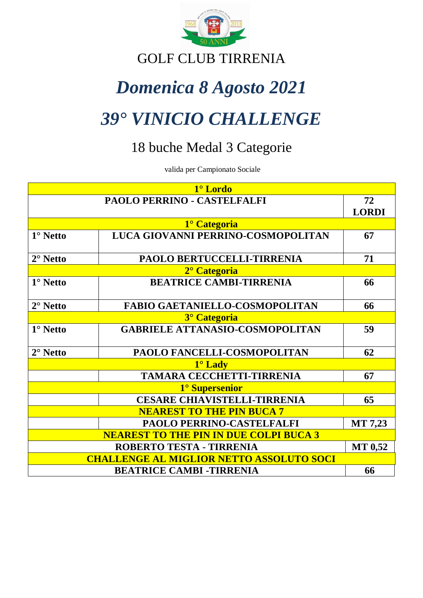

# GOLF CLUB TIRRENIA

# *Domenica 8 Agosto 2021*

# *39° VINICIO CHALLENGE*

# 18 buche Medal 3 Categorie

valida per Campionato Sociale

| 1° Lordo                                        |                                        |                |  |  |
|-------------------------------------------------|----------------------------------------|----------------|--|--|
|                                                 | PAOLO PERRINO - CASTELFALFI            | 72             |  |  |
|                                                 |                                        | <b>LORDI</b>   |  |  |
|                                                 | 1° Categoria                           |                |  |  |
| $1^\circ$ Netto                                 | LUCA GIOVANNI PERRINO-COSMOPOLITAN     | 67             |  |  |
| $2^\circ$ Netto                                 | PAOLO BERTUCCELLI-TIRRENIA             | 71             |  |  |
|                                                 | 2 <sup>°</sup> Categoria               |                |  |  |
| $1^\circ$ Netto                                 | <b>BEATRICE CAMBI-TIRRENIA</b>         | 66             |  |  |
| $2^\circ$ Netto                                 | <b>FABIO GAETANIELLO-COSMOPOLITAN</b>  | 66             |  |  |
|                                                 | <sup>3°</sup> Categoria                |                |  |  |
| $1^\circ$ Netto                                 | <b>GABRIELE ATTANASIO-COSMOPOLITAN</b> | 59             |  |  |
| $2^\circ$ Netto                                 | PAOLO FANCELLI-COSMOPOLITAN            | 62             |  |  |
| $1^\circ$ Lady                                  |                                        |                |  |  |
|                                                 | TAMARA CECCHETTI-TIRRENIA              | 67             |  |  |
|                                                 | 1° Supersenior                         |                |  |  |
|                                                 | <b>CESARE CHIAVISTELLI-TIRRENIA</b>    | 65             |  |  |
| <b>NEAREST TO THE PIN BUCA 7</b>                |                                        |                |  |  |
|                                                 | PAOLO PERRINO-CASTELFALFI              | <b>MT 7,23</b> |  |  |
| <b>NEAREST TO THE PIN IN DUE COLPI BUCA 3</b>   |                                        |                |  |  |
| ROBERTO TESTA - TIRRENIA                        |                                        |                |  |  |
| <b>CHALLENGE AL MIGLIOR NETTO ASSOLUTO SOCI</b> |                                        |                |  |  |
| <b>BEATRICE CAMBI-TIRRENIA</b><br>66            |                                        |                |  |  |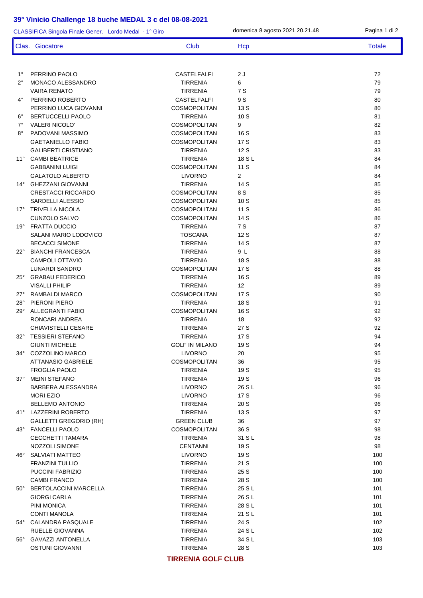| CLASSIFICA Singola Finale Gener. Lordo Medal - 1° Giro |                                              |                                          | domenica 8 agosto 2021 20.21.48 | Pagina 1 di 2 |
|--------------------------------------------------------|----------------------------------------------|------------------------------------------|---------------------------------|---------------|
|                                                        | Clas. Giocatore                              | Club                                     | Hcp                             | <b>Totale</b> |
|                                                        |                                              |                                          |                                 |               |
| $1^{\circ}$                                            | PERRINO PAOLO                                | <b>CASTELFALFI</b>                       | 2 J                             | 72            |
| $2^{\circ}$                                            | <b>MONACO ALESSANDRO</b>                     | <b>TIRRENIA</b>                          | 6                               | 79            |
|                                                        | <b>VAIRA RENATO</b>                          | <b>TIRRENIA</b>                          | 7 S                             | 79            |
| $4^{\circ}$                                            | PERRINO ROBERTO                              | <b>CASTELFALFI</b>                       | 9 S                             | 80            |
|                                                        | PERRINO LUCA GIOVANNI                        | COSMOPOLITAN                             | 13 S                            | 80            |
| $6^{\circ}$                                            | <b>BERTUCCELLI PAOLO</b>                     | <b>TIRRENIA</b>                          | 10S                             | 81            |
| $7^\circ$<br>$8^{\circ}$                               | VALERI NICOLO'<br>PADOVANI MASSIMO           | COSMOPOLITAN<br>COSMOPOLITAN             | 9                               | 82            |
|                                                        | <b>GAETANIELLO FABIO</b>                     | COSMOPOLITAN                             | 16 S<br>17 S                    | 83<br>83      |
|                                                        | <b>GALIBERTI CRISTIANO</b>                   | <b>TIRRENIA</b>                          | 12 S                            | 83            |
| $11^{\circ}$                                           | <b>CAMBI BEATRICE</b>                        | <b>TIRRENIA</b>                          | 18 S L                          | 84            |
|                                                        | <b>GABBANINI LUIGI</b>                       | COSMOPOLITAN                             | 11 S                            | 84            |
|                                                        | <b>GALATOLO ALBERTO</b>                      | <b>LIVORNO</b>                           | $\overline{2}$                  | 84            |
| 14°                                                    | <b>GHEZZANI GIOVANNI</b>                     | <b>TIRRENIA</b>                          | 14 S                            | 85            |
|                                                        | <b>CRESTACCI RICCARDO</b>                    | COSMOPOLITAN                             | 8 S                             | 85            |
|                                                        | <b>SARDELLI ALESSIO</b>                      | <b>COSMOPOLITAN</b>                      | 10S                             | 85            |
| $17^{\circ}$                                           | <b>TRIVELLA NICOLA</b>                       | COSMOPOLITAN                             | 11 S                            | 86            |
|                                                        | CUNZOLO SALVO                                | COSMOPOLITAN                             | 14 S                            | 86            |
| $19^{\circ}$                                           | <b>FRATTA DUCCIO</b>                         | <b>TIRRENIA</b>                          | 7 S                             | 87            |
|                                                        | SALANI MARIO LODOVICO                        | <b>TOSCANA</b>                           | 12 S                            | 87            |
|                                                        | <b>BECACCI SIMONE</b>                        | <b>TIRRENIA</b>                          | 14 S                            | 87            |
| $22^{\circ}$                                           | <b>BIANCHI FRANCESCA</b>                     | <b>TIRRENIA</b>                          | 9 L                             | 88            |
|                                                        | <b>CAMPOLI OTTAVIO</b>                       | <b>TIRRENIA</b>                          | 18 S                            | 88            |
|                                                        | LUNARDI SANDRO                               | COSMOPOLITAN                             | 17 S                            | 88            |
| $25^{\circ}$                                           | <b>GRABAU FEDERICO</b>                       | <b>TIRRENIA</b>                          | 16 S                            | 89            |
|                                                        | <b>VISALLI PHILIP</b>                        | <b>TIRRENIA</b>                          | 12                              | 89            |
| $27^\circ$                                             | RAMBALDI MARCO                               | COSMOPOLITAN                             | 17 S                            | 90            |
| $28^\circ$                                             | PIERONI PIERO                                | <b>TIRRENIA</b>                          | 18 S                            | 91            |
| $29^\circ$                                             | <b>ALLEGRANTI FABIO</b>                      | COSMOPOLITAN                             | 16 S                            | 92            |
|                                                        | RONCARI ANDREA                               | <b>TIRRENIA</b>                          | 18                              | 92            |
|                                                        | <b>CHIAVISTELLI CESARE</b>                   | <b>TIRRENIA</b>                          | 27 S                            | 92            |
| $32^\circ$                                             | <b>TESSIERI STEFANO</b>                      | <b>TIRRENIA</b><br><b>GOLF IN MILANO</b> | 17 S                            | 94            |
|                                                        | <b>GIUNTI MICHELE</b><br>34° COZZOLINO MARCO | <b>LIVORNO</b>                           | 19 S                            | 94<br>95      |
|                                                        | <b>ATTANASIO GABRIELE</b>                    | <b>COSMOPOLITAN</b>                      | 20<br>36                        | 95            |
|                                                        | <b>FROGLIA PAOLO</b>                         | <b>TIRRENIA</b>                          | 19 S                            | 95            |
|                                                        | 37° MEINI STEFANO                            | <b>TIRRENIA</b>                          | 19 S                            | 96            |
|                                                        | BARBERA ALESSANDRA                           | <b>LIVORNO</b>                           | 26 S L                          | 96            |
|                                                        | <b>MORI EZIO</b>                             | <b>LIVORNO</b>                           | 17 S                            | 96            |
|                                                        | <b>BELLEMO ANTONIO</b>                       | <b>TIRRENIA</b>                          | 20 S                            | 96            |
|                                                        | 41° LAZZERINI ROBERTO                        | <b>TIRRENIA</b>                          | 13 S                            | 97            |
|                                                        | <b>GALLETTI GREGORIO (RH)</b>                | <b>GREEN CLUB</b>                        | 36                              | 97            |
|                                                        | 43° FANCELLI PAOLO                           | <b>COSMOPOLITAN</b>                      | 36 S                            | 98            |
|                                                        | CECCHETTI TAMARA                             | <b>TIRRENIA</b>                          | 31 S L                          | 98            |
|                                                        | NOZZOLI SIMONE                               | <b>CENTANNI</b>                          | 19 S                            | 98            |
| 46°                                                    | SALVIATI MATTEO                              | <b>LIVORNO</b>                           | 19 S                            | 100           |
|                                                        | <b>FRANZINI TULLIO</b>                       | <b>TIRRENIA</b>                          | 21 S                            | 100           |
|                                                        | PUCCINI FABRIZIO                             | <b>TIRRENIA</b>                          | 25 S                            | 100           |
|                                                        | <b>CAMBI FRANCO</b>                          | <b>TIRRENIA</b>                          | 28 S                            | 100           |
|                                                        | 50° BERTOLACCINI MARCELLA                    | <b>TIRRENIA</b>                          | 25 S L                          | 101           |
|                                                        | <b>GIORGI CARLA</b>                          | <b>TIRRENIA</b>                          | 26 S L                          | 101           |
|                                                        | PINI MONICA                                  | <b>TIRRENIA</b>                          | 28 S L                          | 101           |
|                                                        | <b>CONTI MANOLA</b>                          | <b>TIRRENIA</b>                          | 21 S L                          | 101           |
|                                                        | 54° CALANDRA PASQUALE                        | <b>TIRRENIA</b>                          | 24 S                            | 102           |
|                                                        | RUELLE GIOVANNA                              | <b>TIRRENIA</b>                          | 24 S L                          | 102           |
|                                                        | 56° GAVAZZI ANTONELLA                        | <b>TIRRENIA</b>                          | 34 S L                          | 103           |
|                                                        | <b>OSTUNI GIOVANNI</b>                       | <b>TIRRENIA</b>                          | 28 S                            | 103           |

#### **TIRRENIA GOLF CLUB**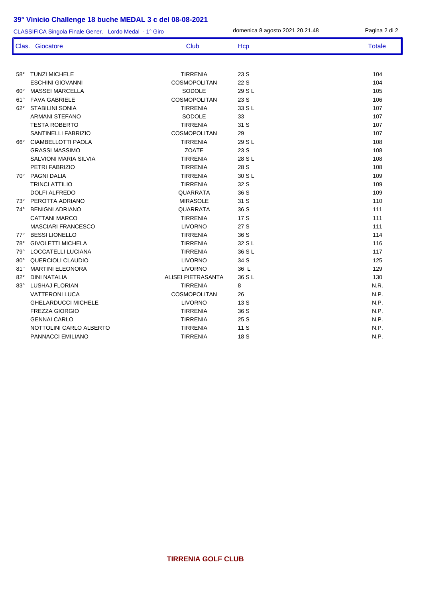| CLASSIFICA Singola Finale Gener. Lordo Medal - 1° Giro |                              |                     | domenica 8 agosto 2021 20.21.48 | Pagina 2 di 2 |
|--------------------------------------------------------|------------------------------|---------------------|---------------------------------|---------------|
|                                                        | Clas. Giocatore              | Club                | Hcp                             | <b>Totale</b> |
|                                                        |                              |                     |                                 |               |
| $58^\circ$                                             | <b>TUNZI MICHELE</b>         | <b>TIRRENIA</b>     | 23 S                            | 104           |
|                                                        | <b>ESCHINI GIOVANNI</b>      | COSMOPOLITAN        | 22 S                            | 104           |
| $60^\circ$                                             | <b>MASSEI MARCELLA</b>       | SODOLE              | 29 S L                          | 105           |
| $61^{\circ}$                                           | <b>FAVA GABRIELE</b>         | COSMOPOLITAN        | 23 S                            | 106           |
| $62^\circ$                                             | <b>STABILINI SONIA</b>       | <b>TIRRENIA</b>     | 33 S L                          | 107           |
|                                                        | <b>ARMANI STEFANO</b>        | SODOLE              | 33                              | 107           |
|                                                        | <b>TESTA ROBERTO</b>         | <b>TIRRENIA</b>     | 31 S                            | 107           |
|                                                        | SANTINELLI FABRIZIO          | COSMOPOLITAN        | 29                              | 107           |
| $66^\circ$                                             | CIAMBELLOTTI PAOLA           | <b>TIRRENIA</b>     | 29 S L                          | 108           |
|                                                        | <b>GRASSI MASSIMO</b>        | <b>ZOATE</b>        | 23 S                            | 108           |
|                                                        | <b>SALVIONI MARIA SILVIA</b> | <b>TIRRENIA</b>     | 28 S L                          | 108           |
|                                                        | PETRI FABRIZIO               | <b>TIRRENIA</b>     | 28 S                            | 108           |
| $70^{\circ}$                                           | PAGNI DALIA                  | <b>TIRRENIA</b>     | 30 S L                          | 109           |
|                                                        | <b>TRINCI ATTILIO</b>        | <b>TIRRENIA</b>     | 32 S                            | 109           |
|                                                        | DOLFI ALFREDO                | <b>QUARRATA</b>     | 36 S                            | 109           |
| 73°                                                    | PEROTTA ADRIANO              | <b>MIRASOLE</b>     | 31 S                            | 110           |
| 74°                                                    | <b>BENIGNI ADRIANO</b>       | <b>QUARRATA</b>     | 36 S                            | 111           |
|                                                        | <b>CATTANI MARCO</b>         | <b>TIRRENIA</b>     | 17 S                            | 111           |
|                                                        | <b>MASCIARI FRANCESCO</b>    | <b>LIVORNO</b>      | 27 S                            | 111           |
| $77^\circ$                                             | <b>BESSI LIONELLO</b>        | <b>TIRRENIA</b>     | 36 S                            | 114           |
| $78^{\circ}$                                           | <b>GIVOLETTI MICHELA</b>     | <b>TIRRENIA</b>     | 32 S L                          | 116           |
| $79^\circ$                                             | LOCCATELLI LUCIANA           | <b>TIRRENIA</b>     | 36 S L                          | 117           |
| $80^\circ$                                             | QUERCIOLI CLAUDIO            | <b>LIVORNO</b>      | 34 S                            | 125           |
| $81^\circ$                                             | <b>MARTINI ELEONORA</b>      | <b>LIVORNO</b>      | 36 L                            | 129           |
| $82^\circ$                                             | <b>DINI NATALIA</b>          | ALISEI PIETRASANTA  | 36 S L                          | 130           |
| $83^\circ$                                             | <b>LUSHAJ FLORIAN</b>        | <b>TIRRENIA</b>     | 8                               | N.R.          |
|                                                        | <b>VATTERONI LUCA</b>        | <b>COSMOPOLITAN</b> | 26                              | N.P.          |
|                                                        | <b>GHELARDUCCI MICHELE</b>   | <b>LIVORNO</b>      | 13 S                            | N.P.          |
|                                                        | <b>FREZZA GIORGIO</b>        | <b>TIRRENIA</b>     | 36 S                            | N.P.          |
|                                                        | <b>GENNAI CARLO</b>          | <b>TIRRENIA</b>     | 25 S                            | N.P.          |
|                                                        | NOTTOLINI CARLO ALBERTO      | <b>TIRRENIA</b>     | 11S                             | N.P.          |
|                                                        | PANNACCI EMILIANO            | <b>TIRRENIA</b>     | 18 S                            | N.P.          |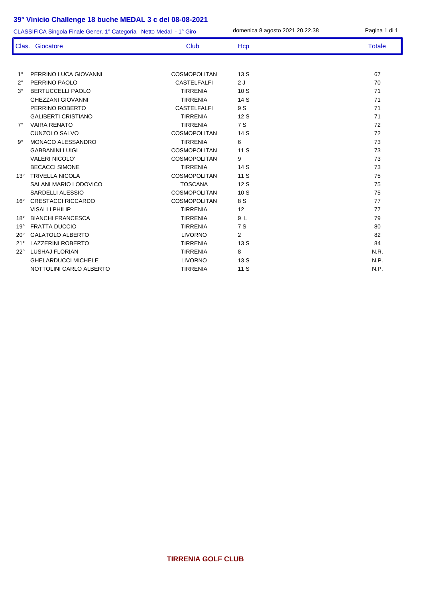| CLASSIFICA Singola Finale Gener. 1° Categoria Netto Medal - 1° Giro |                            |                     | domenica 8 agosto 2021 20.22.38 | Pagina 1 di 1 |
|---------------------------------------------------------------------|----------------------------|---------------------|---------------------------------|---------------|
|                                                                     | Clas. Giocatore            | Club                | Hcp                             | <b>Totale</b> |
|                                                                     |                            |                     |                                 |               |
| $1^{\circ}$                                                         | PERRINO LUCA GIOVANNI      | <b>COSMOPOLITAN</b> | 13 S                            | 67            |
| $2^{\circ}$                                                         | PERRINO PAOLO              | <b>CASTELFALFI</b>  | 2J                              | 70            |
| $3^\circ$                                                           | <b>BERTUCCELLI PAOLO</b>   | <b>TIRRENIA</b>     | 10S                             | 71            |
|                                                                     | <b>GHEZZANI GIOVANNI</b>   | <b>TIRRENIA</b>     | 14 S                            | 71            |
|                                                                     | PERRINO ROBERTO            | <b>CASTELFALFI</b>  | 9 S                             | 71            |
|                                                                     | <b>GALIBERTI CRISTIANO</b> | <b>TIRRENIA</b>     | 12S                             | 71            |
| $7^\circ$                                                           | <b>VAIRA RENATO</b>        | <b>TIRRENIA</b>     | 7 S                             | 72            |
|                                                                     | CUNZOLO SALVO              | <b>COSMOPOLITAN</b> | 14 S                            | 72            |
| $9^{\circ}$                                                         | MONACO ALESSANDRO          | <b>TIRRENIA</b>     | 6                               | 73            |
|                                                                     | <b>GABBANINI LUIGI</b>     | <b>COSMOPOLITAN</b> | 11 S                            | 73            |
|                                                                     | <b>VALERI NICOLO'</b>      | <b>COSMOPOLITAN</b> | 9                               | 73            |
|                                                                     | <b>BECACCI SIMONE</b>      | <b>TIRRENIA</b>     | 14 S                            | 73            |
| $13^\circ$                                                          | <b>TRIVELLA NICOLA</b>     | <b>COSMOPOLITAN</b> | 11S                             | 75            |
|                                                                     | SALANI MARIO LODOVICO      | <b>TOSCANA</b>      | 12S                             | 75            |
|                                                                     | SARDELLI ALESSIO           | <b>COSMOPOLITAN</b> | 10S                             | 75            |
| $16^\circ$                                                          | <b>CRESTACCI RICCARDO</b>  | <b>COSMOPOLITAN</b> | 8 S                             | 77            |
|                                                                     | <b>VISALLI PHILIP</b>      | <b>TIRRENIA</b>     | 12                              | 77            |
| $18^\circ$                                                          | <b>BIANCHI FRANCESCA</b>   | <b>TIRRENIA</b>     | 9 L                             | 79            |
| $19^\circ$                                                          | <b>FRATTA DUCCIO</b>       | <b>TIRRENIA</b>     | 7 S                             | 80            |
| $20^{\circ}$                                                        | <b>GALATOLO ALBERTO</b>    | <b>LIVORNO</b>      | $\overline{2}$                  | 82            |
| 21°                                                                 | <b>LAZZERINI ROBERTO</b>   | <b>TIRRENIA</b>     | 13 S                            | 84            |
| $22^{\circ}$                                                        | <b>LUSHAJ FLORIAN</b>      | <b>TIRRENIA</b>     | 8                               | N.R.          |
|                                                                     | <b>GHELARDUCCI MICHELE</b> | <b>LIVORNO</b>      | 13 S                            | N.P.          |
|                                                                     | NOTTOLINI CARLO ALBERTO    | <b>TIRRENIA</b>     | 11 S                            | N.P.          |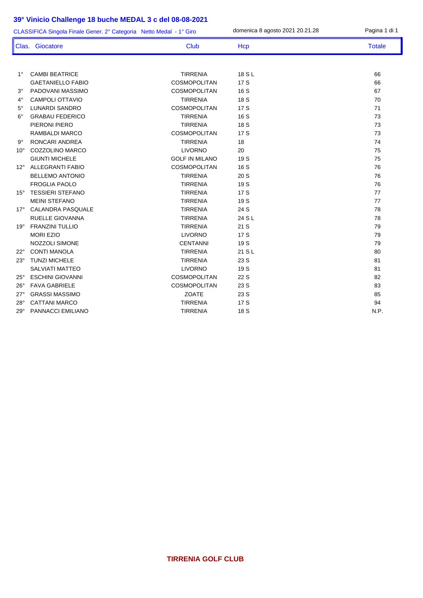| CLASSIFICA Singola Finale Gener. 2° Categoria Netto Medal - 1° Giro |                          |                       | domenica 8 agosto 2021 20.21.28 | Pagina 1 di 1 |
|---------------------------------------------------------------------|--------------------------|-----------------------|---------------------------------|---------------|
|                                                                     | Clas. Giocatore          | <b>Club</b>           | Hcp                             | <b>Totale</b> |
|                                                                     |                          |                       |                                 |               |
| $1^{\circ}$                                                         | <b>CAMBI BEATRICE</b>    | <b>TIRRENIA</b>       | 18 S L                          | 66            |
|                                                                     | <b>GAETANIELLO FABIO</b> | <b>COSMOPOLITAN</b>   | 17S                             | 66            |
| $3^\circ$                                                           | PADOVANI MASSIMO         | <b>COSMOPOLITAN</b>   | 16 S                            | 67            |
| $4^\circ$                                                           | <b>CAMPOLI OTTAVIO</b>   | <b>TIRRENIA</b>       | 18 S                            | 70            |
| $5^{\circ}$                                                         | <b>LUNARDI SANDRO</b>    | <b>COSMOPOLITAN</b>   | 17 S                            | 71            |
| $6^{\circ}$                                                         | <b>GRABAU FEDERICO</b>   | <b>TIRRENIA</b>       | 16 S                            | 73            |
|                                                                     | PIERONI PIERO            | <b>TIRRENIA</b>       | 18 S                            | 73            |
|                                                                     | RAMBALDI MARCO           | <b>COSMOPOLITAN</b>   | 17S                             | 73            |
| $9^{\circ}$                                                         | <b>RONCARI ANDREA</b>    | <b>TIRRENIA</b>       | 18                              | 74            |
| $10^{\circ}$                                                        | COZZOLINO MARCO          | <b>LIVORNO</b>        | 20                              | 75            |
|                                                                     | <b>GIUNTI MICHELE</b>    | <b>GOLF IN MILANO</b> | 19 S                            | 75            |
| $12^{\circ}$                                                        | ALLEGRANTI FABIO         | <b>COSMOPOLITAN</b>   | 16 S                            | 76            |
|                                                                     | <b>BELLEMO ANTONIO</b>   | <b>TIRRENIA</b>       | 20S                             | 76            |
|                                                                     | <b>FROGLIA PAOLO</b>     | <b>TIRRENIA</b>       | 19 S                            | 76            |
| $15^{\circ}$                                                        | <b>TESSIERI STEFANO</b>  | <b>TIRRENIA</b>       | 17 S                            | 77            |
|                                                                     | <b>MEINI STEFANO</b>     | <b>TIRRENIA</b>       | 19 S                            | 77            |
|                                                                     | 17° CALANDRA PASQUALE    | <b>TIRRENIA</b>       | 24 S                            | 78            |
|                                                                     | RUELLE GIOVANNA          | <b>TIRRENIA</b>       | 24 S L                          | 78            |
| $19^{\circ}$                                                        | <b>FRANZINI TULLIO</b>   | <b>TIRRENIA</b>       | 21 S                            | 79            |
|                                                                     | <b>MORI EZIO</b>         | <b>LIVORNO</b>        | 17S                             | 79            |
|                                                                     | NOZZOLI SIMONE           | <b>CENTANNI</b>       | 19 S                            | 79            |
| $22^{\circ}$                                                        | <b>CONTI MANOLA</b>      | <b>TIRRENIA</b>       | 21 S L                          | 80            |
| $23^\circ$                                                          | <b>TUNZI MICHELE</b>     | <b>TIRRENIA</b>       | 23 S                            | 81            |
|                                                                     | <b>SALVIATI MATTEO</b>   | <b>LIVORNO</b>        | 19 S                            | 81            |
| $25^{\circ}$                                                        | <b>ESCHINI GIOVANNI</b>  | COSMOPOLITAN          | 22 S                            | 82            |
| $26^{\circ}$                                                        | <b>FAVA GABRIELE</b>     | COSMOPOLITAN          | 23 S                            | 83            |
| $27^\circ$                                                          | <b>GRASSI MASSIMO</b>    | ZOATE                 | 23 S                            | 85            |
| $28^\circ$                                                          | <b>CATTANI MARCO</b>     | <b>TIRRENIA</b>       | 17 S                            | 94            |
| $29^\circ$                                                          | PANNACCI EMILIANO        | <b>TIRRENIA</b>       | 18 S                            | N.P.          |